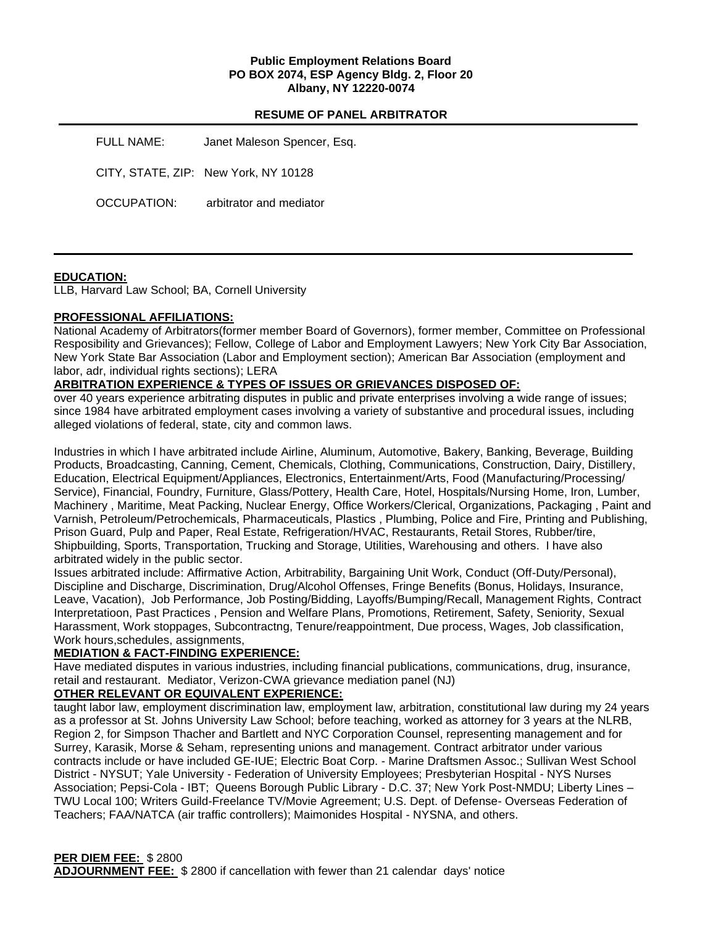### **Public Employment Relations Board PO BOX 2074, ESP Agency Bldg. 2, Floor 20 Albany, NY 12220-0074**

## **RESUME OF PANEL ARBITRATOR**

FULL NAME: Janet Maleson Spencer, Esq. CITY, STATE, ZIP: New York, NY 10128 OCCUPATION: arbitrator and mediator

## **EDUCATION:**

LLB, Harvard Law School; BA, Cornell University

## **PROFESSIONAL AFFILIATIONS:**

National Academy of Arbitrators(former member Board of Governors), former member, Committee on Professional Resposibility and Grievances); Fellow, College of Labor and Employment Lawyers; New York City Bar Association, New York State Bar Association (Labor and Employment section); American Bar Association (employment and labor, adr, individual rights sections); LERA

### **ARBITRATION EXPERIENCE & TYPES OF ISSUES OR GRIEVANCES DISPOSED OF:**

over 40 years experience arbitrating disputes in public and private enterprises involving a wide range of issues; since 1984 have arbitrated employment cases involving a variety of substantive and procedural issues, including alleged violations of federal, state, city and common laws.

Industries in which I have arbitrated include Airline, Aluminum, Automotive, Bakery, Banking, Beverage, Building Products, Broadcasting, Canning, Cement, Chemicals, Clothing, Communications, Construction, Dairy, Distillery, Education, Electrical Equipment/Appliances, Electronics, Entertainment/Arts, Food (Manufacturing/Processing/ Service), Financial, Foundry, Furniture, Glass/Pottery, Health Care, Hotel, Hospitals/Nursing Home, Iron, Lumber, Machinery , Maritime, Meat Packing, Nuclear Energy, Office Workers/Clerical, Organizations, Packaging , Paint and Varnish, Petroleum/Petrochemicals, Pharmaceuticals, Plastics , Plumbing, Police and Fire, Printing and Publishing, Prison Guard, Pulp and Paper, Real Estate, Refrigeration/HVAC, Restaurants, Retail Stores, Rubber/tire, Shipbuilding, Sports, Transportation, Trucking and Storage, Utilities, Warehousing and others. I have also arbitrated widely in the public sector.

Issues arbitrated include: Affirmative Action, Arbitrability, Bargaining Unit Work, Conduct (Off-Duty/Personal), Discipline and Discharge, Discrimination, Drug/Alcohol Offenses, Fringe Benefits (Bonus, Holidays, Insurance, Leave, Vacation), Job Performance, Job Posting/Bidding, Layoffs/Bumping/Recall, Management Rights, Contract Interpretatioon, Past Practices , Pension and Welfare Plans, Promotions, Retirement, Safety, Seniority, Sexual Harassment, Work stoppages, Subcontractng, Tenure/reappointment, Due process, Wages, Job classification, Work hours,schedules, assignments,

### **MEDIATION & FACT-FINDING EXPERIENCE:**

Have mediated disputes in various industries, including financial publications, communications, drug, insurance, retail and restaurant. Mediator, Verizon-CWA grievance mediation panel (NJ)

## **OTHER RELEVANT OR EQUIVALENT EXPERIENCE:**

taught labor law, employment discrimination law, employment law, arbitration, constitutional law during my 24 years as a professor at St. Johns University Law School; before teaching, worked as attorney for 3 years at the NLRB, Region 2, for Simpson Thacher and Bartlett and NYC Corporation Counsel, representing management and for Surrey, Karasik, Morse & Seham, representing unions and management. Contract arbitrator under various contracts include or have included GE-IUE; Electric Boat Corp. - Marine Draftsmen Assoc.; Sullivan West School District - NYSUT; Yale University - Federation of University Employees; Presbyterian Hospital - NYS Nurses Association; Pepsi-Cola - IBT; Queens Borough Public Library - D.C. 37; New York Post-NMDU; Liberty Lines – TWU Local 100; Writers Guild-Freelance TV/Movie Agreement; U.S. Dept. of Defense- Overseas Federation of Teachers; FAA/NATCA (air traffic controllers); Maimonides Hospital - NYSNA, and others.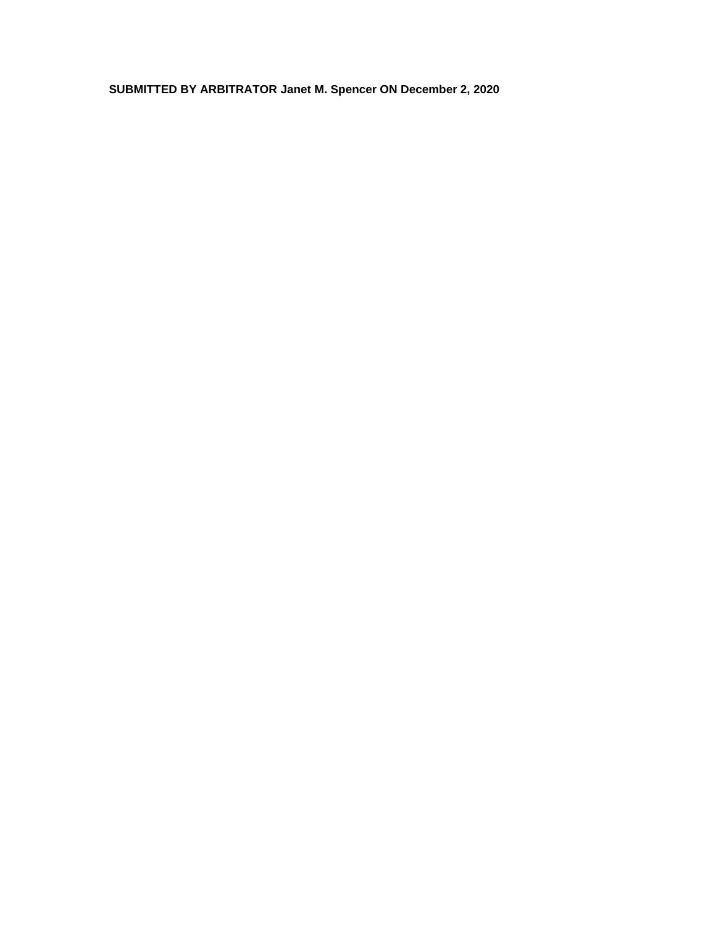**SUBMITTED BY ARBITRATOR Janet M. Spencer ON December 2, 2020**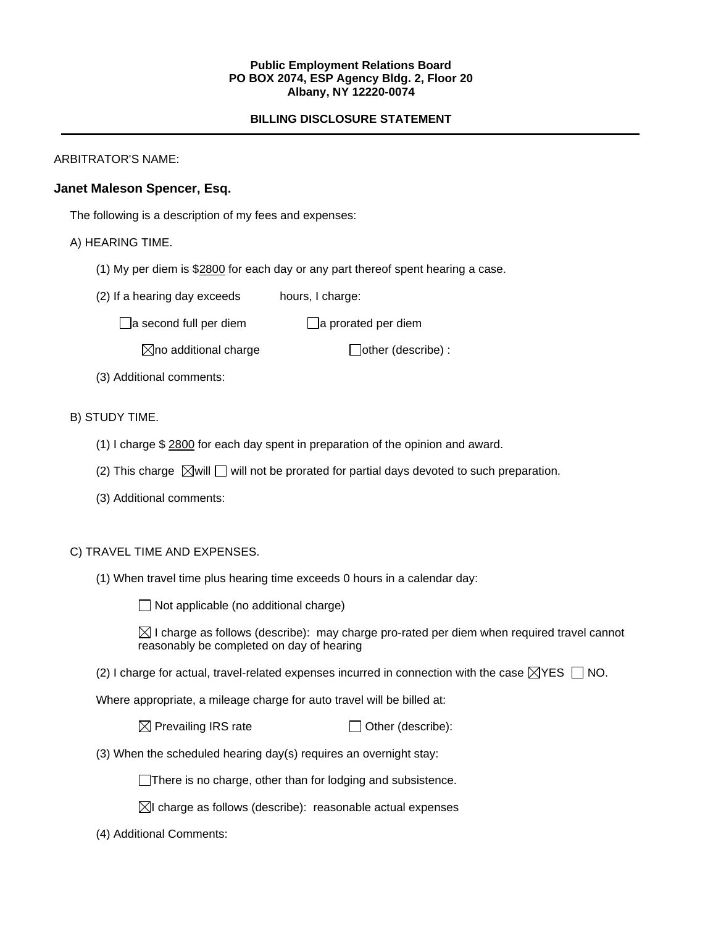### **Public Employment Relations Board PO BOX 2074, ESP Agency Bldg. 2, Floor 20 Albany, NY 12220-0074**

# **BILLING DISCLOSURE STATEMENT**

ARBITRATOR'S NAME:

## **Janet Maleson Spencer, Esq.**

The following is a description of my fees and expenses:

### A) HEARING TIME.

- (1) My per diem is \$2800 for each day or any part thereof spent hearing a case.
- (2) If a hearing day exceeds hours, I charge:
	- $\Box$ a second full per diem  $\Box$ a prorated per diem

 $\boxtimes$ no additional charge  $\Box$ other (describe) :

(3) Additional comments:

## B) STUDY TIME.

- (1) I charge \$ 2800 for each day spent in preparation of the opinion and award.
- (2) This charge  $\boxtimes$  will  $\Box$  will not be prorated for partial days devoted to such preparation.
- (3) Additional comments:

#### C) TRAVEL TIME AND EXPENSES.

(1) When travel time plus hearing time exceeds 0 hours in a calendar day:

 $\Box$  Not applicable (no additional charge)

 $\boxtimes$  I charge as follows (describe): may charge pro-rated per diem when required travel cannot reasonably be completed on day of hearing

(2) I charge for actual, travel-related expenses incurred in connection with the case  $\boxtimes$ YES  $\Box$  NO.

Where appropriate, a mileage charge for auto travel will be billed at:

| $\boxtimes$ Prevailing IRS rate | $\Box$ Other (describe): |
|---------------------------------|--------------------------|
|---------------------------------|--------------------------|

(3) When the scheduled hearing day(s) requires an overnight stay:

There is no charge, other than for lodging and subsistence.

- $\boxtimes$ I charge as follows (describe): reasonable actual expenses
- (4) Additional Comments: